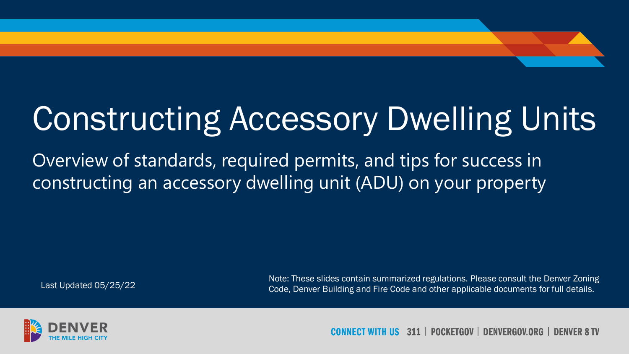# Constructing Accessory Dwelling Units

Overview of standards, required permits, and tips for success in constructing an accessory dwelling unit (ADU) on your property

Note: These slides contain summarized regulations. Please consult the Denver Zoning Code, Denver Building and Fire Code and other applicable documents for full details. Last Updated 05/25/22



**POCKETGOV | DENVERGOV.ORG** -311 | **DENVER 8 TV**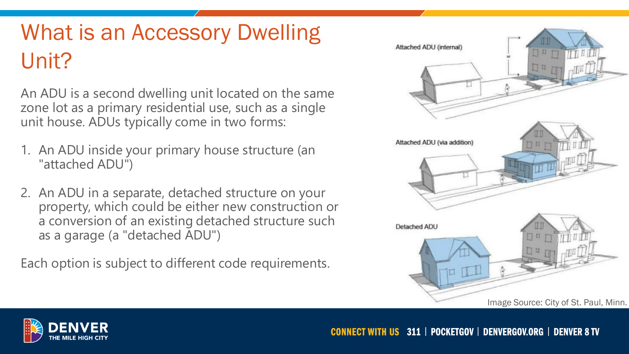### What is an Accessory Dwelling Unit?

An ADU is a second dwelling unit located on the same zone lot as a primary residential use, such as a single unit house. ADUs typically come in two forms:

- 1. An ADU inside your primary house structure (an "attached ADU")
- 2. An ADU in a separate, detached structure on your property, which could be either new construction or a conversion of an existing detached structure such as a garage (a "detached ADU")

Each option is subject to different code requirements.



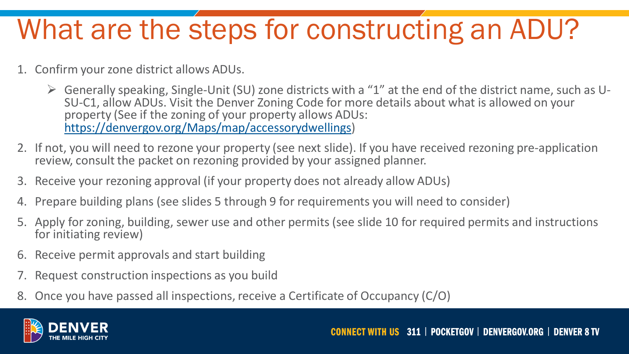### What are the steps for constructing an ADU?

- 1. Confirm your zone district allows ADUs.
	- $\triangleright$  Generally speaking, Single-Unit (SU) zone districts with a "1" at the end of the district name, such as U-<br>SU-C1, allow ADUs. Visit the Denver Zoning Code for more details about what is allowed on your property (See if the zoning of your property allows ADUs: <https://denvergov.org/Maps/map/accessorydwellings>)
- 2. If not, you will need to rezone your property (see next slide). If you have received rezoning pre-application review, consult the packet on rezoning provided by your assigned planner.
- 3. Receive your rezoning approval (if your property does not already allow ADUs)
- 4. Prepare building plans (see slides 5 through 9 for requirements you will need to consider)
- 5. Apply for zoning, building, sewer use and other permits (see slide 10 for required permits and instructions for initiating review)
- 6. Receive permit approvals and start building
- 7. Request construction inspections as you build
- 8. Once you have passed all inspections, receive a Certificate of Occupancy (C/O)

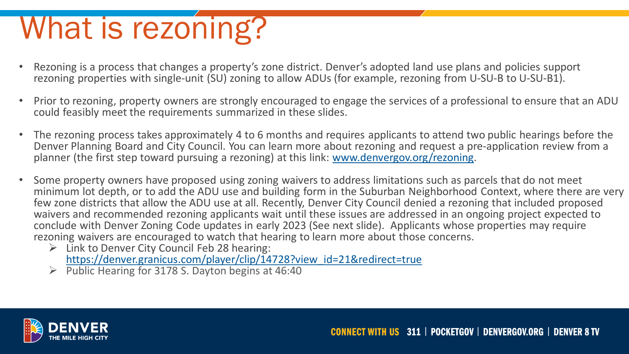# What is rezoning?

- Rezoning is a process that changes a property's zone district. Denver's adopted land use plans and policies support rezoning properties with single-unit (SU) zoning to allow ADUs (for example, rezoning from U-SU-B to U-SU-B1).
- Prior to rezoning, property owners are strongly encouraged to engage the services of a professional to ensure that an ADU could feasibly meet the requirements summarized in these slides.
- The rezoning process takes approximately 4 to 6 months and requires applicants to attend two public hearings before the Denver Planning Board and City Council. You can learn more about rezoning and request a pre-application review from a planner (the first step toward pursuing a rezoning) at this link: [www.denvergov.org/rezoning.](http://www.denvergov.org/rezoning)
- Some property owners have proposed using zoning waivers to address limitations such as parcels that do not meet minimum lot depth, or to add the ADU use and building form in the Suburban Neighborhood Context, where there are very few zone districts that allow the ADU use at all. Recently, Denver City Council denied a rezoning that included proposed waivers and recommended rezoning applicants wait until these issues are addressed in an ongoing project expected to conclude with Denver Zoning Code updates in early 2023 (See next slide). Applicants whose properties may require rezoning waivers are encouraged to watch that hearing to learn more about those concerns.
	- $\triangleright$  Link to Denver City Council Feb 28 hearing: [https://denver.granicus.com/player/clip/14728?view\\_id=21&redirect=true](https://denver.granicus.com/player/clip/14728?view_id=21&redirect=true%E2%80%8B)
	- $\triangleright$  Public Hearing for 3178 S. Dayton begins at 46:40

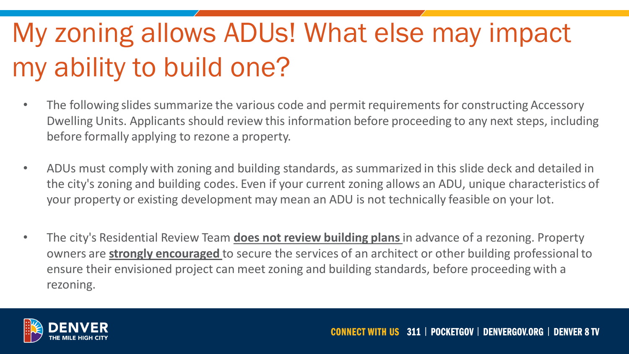## My zoning allows ADUs! What else may impact my ability to build one?

- The following slides summarize the various code and permit requirements for constructing Accessory Dwelling Units. Applicants should review this information before proceeding to any next steps, including before formally applying to rezone a property.
- ADUs must comply with zoning and building standards, as summarized in this slide deck and detailed in the city's zoning and building codes. Even if your current zoning allows an ADU, unique characteristics of your property or existing development may mean an ADU is not technically feasible on your lot.
- The city's Residential Review Team **does not review building plans** in advance of a rezoning. Property owners are **strongly encouraged** to secure the services of an architect or other building professional to ensure their envisioned project can meet zoning and building standards, before proceeding with a rezoning.

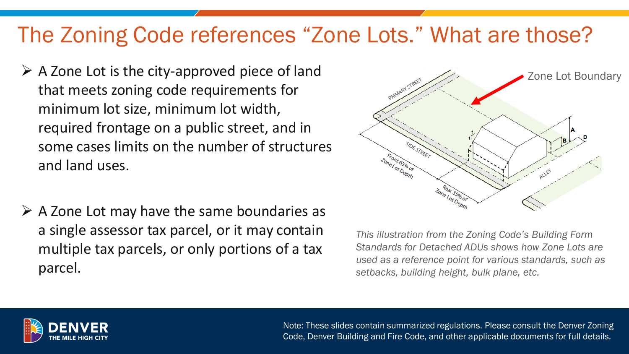### The Zoning Code references "Zone Lots." What are those?

- $\triangleright$  A Zone Lot is the city-approved piece of land that meets zoning code requirements for minimum lot size, minimum lot width, required frontage on a public street, and in some cases limits on the number of structures and land uses.
- $\triangleright$  A Zone Lot may have the same boundaries as a single assessor tax parcel, or it may contain multiple tax parcels, or only portions of a tax parcel.



*This illustration from the Zoning Code's Building Form Standards for Detached ADUs shows how Zone Lots are used as a reference point for various standards, such as setbacks, building height, bulk plane, etc.*

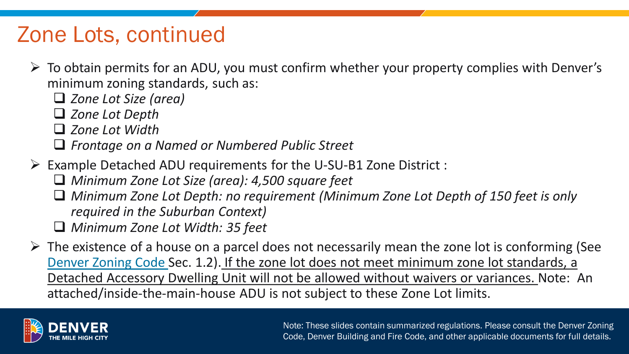### Zone Lots, continued

- $\triangleright$  To obtain permits for an ADU, you must confirm whether your property complies with Denver's minimum zoning standards, such as:
	- *Zone Lot Size (area)*
	- *Zone Lot Depth*
	- *Zone Lot Width*
	- *Frontage on a Named or Numbered Public Street*
- Example Detached ADU requirements for the U-SU-B1 Zone District :
	- *Minimum Zone Lot Size (area): 4,500 square feet*
	- *Minimum Zone Lot Depth: no requirement (Minimum Zone Lot Depth of 150 feet is only required in the Suburban Context)*
	- *Minimum Zone Lot Width: 35 feet*
- $\triangleright$  The existence of a house on a parcel does not necessarily mean the zone lot is conforming (See [Denver Zoning Code S](https://denvergov.org/Government/Agencies-Departments-Offices/Agencies-Departments-Offices-Directory/Community-Planning-and-Development/Denver-Zoning-Code)ec. 1.2). If the zone lot does not meet minimum zone lot standards, a Detached Accessory Dwelling Unit will not be allowed without waivers or variances. Note: An attached/inside-the-main-house ADU is not subject to these Zone Lot limits.

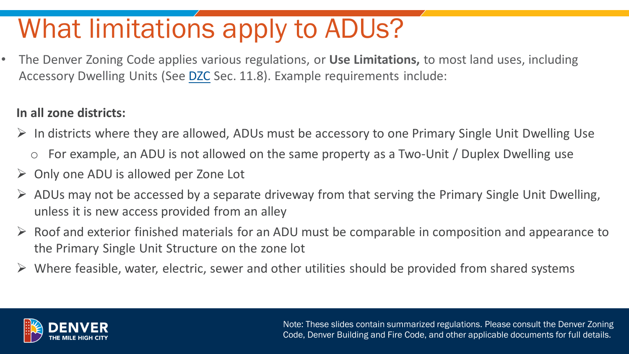## What limitations apply to ADUs?

• The Denver Zoning Code applies various regulations, or **Use Limitations,** to most land uses, including Accessory Dwelling Units (See [DZC](http://www.denvergov.org/zoning) Sec. 11.8). Example requirements include:

### **In all zone districts:**

- $\triangleright$  In districts where they are allowed, ADUs must be accessory to one Primary Single Unit Dwelling Use
	- o For example, an ADU is not allowed on the same property as a Two-Unit / Duplex Dwelling use
- $\triangleright$  Only one ADU is allowed per Zone Lot
- $\triangleright$  ADUs may not be accessed by a separate driveway from that serving the Primary Single Unit Dwelling, unless it is new access provided from an alley
- $\triangleright$  Roof and exterior finished materials for an ADU must be comparable in composition and appearance to the Primary Single Unit Structure on the zone lot
- $\triangleright$  Where feasible, water, electric, sewer and other utilities should be provided from shared systems

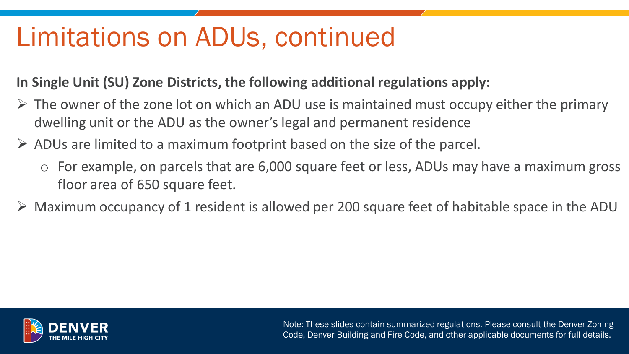### Limitations on ADUs, continued

### **In Single Unit (SU) Zone Districts, the following additional regulations apply:**

- $\triangleright$  The owner of the zone lot on which an ADU use is maintained must occupy either the primary dwelling unit or the ADU as the owner's legal and permanent residence
- $\triangleright$  ADUs are limited to a maximum footprint based on the size of the parcel.
	- For example, on parcels that are 6,000 square feet or less, ADUs may have a maximum gross floor area of 650 square feet.
- $\triangleright$  Maximum occupancy of 1 resident is allowed per 200 square feet of habitable space in the ADU

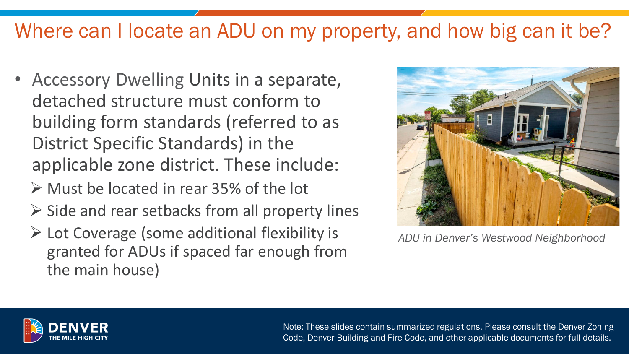### Where can I locate an ADU on my property, and how big can it be?

- Accessory Dwelling Units in a separate, detached structure must conform to building form standards (referred to as District Specific Standards) in the applicable zone district. These include:
	- Must be located in rear 35% of the lot
	- $\triangleright$  Side and rear setbacks from all property lines
	- $\triangleright$  Lot Coverage (some additional flexibility is granted for ADUs if spaced far enough from the main house)



*ADU in Denver's Westwood Neighborhood*

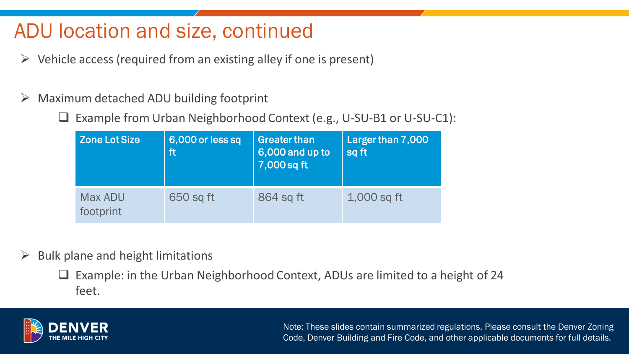### ADU location and size, continued

- $\triangleright$  Vehicle access (required from an existing alley if one is present)
- $\triangleright$  Maximum detached ADU building footprint
	- □ Example from Urban Neighborhood Context (e.g., U-SU-B1 or U-SU-C1):

| <b>Zone Lot Size</b> | 6,000 or less sq<br>ft | <b>Greater than</b><br>6,000 and up to<br>7,000 sq ft | Larger than 7,000<br>sq ft |
|----------------------|------------------------|-------------------------------------------------------|----------------------------|
| Max ADU<br>footprint | 650 sq ft              | 864 sq ft                                             | 1,000 sq ft                |

 $\triangleright$  Bulk plane and height limitations

 $\Box$  Example: in the Urban Neighborhood Context, ADUs are limited to a height of 24 feet.

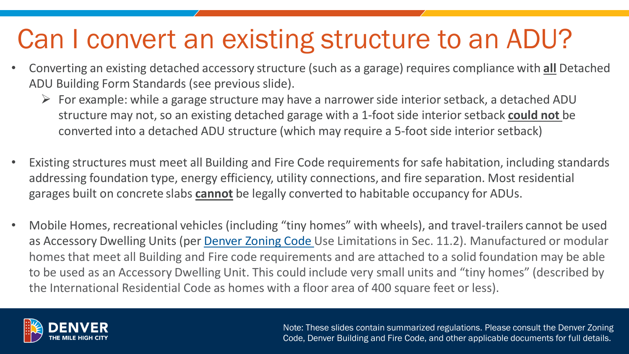### Can I convert an existing structure to an ADU?

- Converting an existing detached accessory structure (such as a garage) requires compliance with **all** Detached ADU Building Form Standards (see previous slide).
	- $\triangleright$  For example: while a garage structure may have a narrower side interior setback, a detached ADU structure may not, so an existing detached garage with a 1-foot side interior setback **could not** be converted into a detached ADU structure (which may require a 5-foot side interior setback)
- Existing structures must meet all Building and Fire Code requirements for safe habitation, including standards addressing foundation type, energy efficiency, utility connections, and fire separation. Most residential garages built on concrete slabs **cannot** be legally converted to habitable occupancy for ADUs.
- Mobile Homes, recreational vehicles (including "tiny homes" with wheels), and travel-trailers cannot be used as Accessory Dwelling Units (per [Denver Zoning Code U](http://www.denvergov.org/zoning)se Limitations in Sec. 11.2). Manufactured or modular homes that meet all Building and Fire code requirements and are attached to a solid foundation may be able to be used as an Accessory Dwelling Unit. This could include very small units and "tiny homes" (described by the International Residential Code as homes with a floor area of 400 square feet or less).

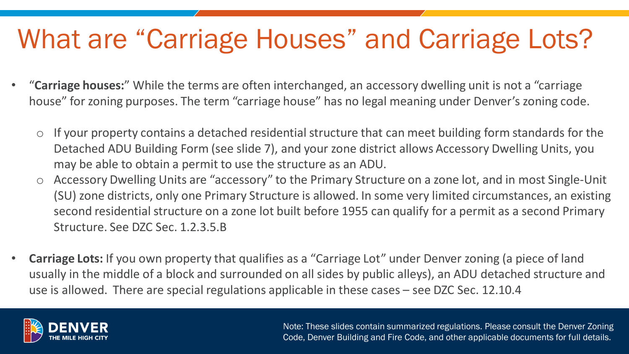### What are "Carriage Houses" and Carriage Lots?

- "**Carriage houses:**" While the terms are often interchanged, an accessory dwelling unit is not a "carriage house" for zoning purposes. The term "carriage house" has no legal meaning under Denver's zoning code.
	- $\circ$  If your property contains a detached residential structure that can meet building form standards for the Detached ADU Building Form (see slide 7), and your zone district allows Accessory Dwelling Units, you may be able to obtain a permit to use the structure as an ADU.
	- Accessory Dwelling Units are "accessory" to the Primary Structure on a zone lot, and in most Single-Unit (SU) zone districts, only one Primary Structure is allowed. In some very limited circumstances, an existing second residential structure on a zone lot built before 1955 can qualify for a permit as a second Primary Structure. See DZC Sec. 1.2.3.5.B
- **Carriage Lots:** If you own property that qualifies as a "Carriage Lot" under Denver zoning (a piece of land usually in the middle of a block and surrounded on all sides by public alleys), an ADU detached structure and use is allowed. There are special regulations applicable in these cases – see DZC Sec. 12.10.4

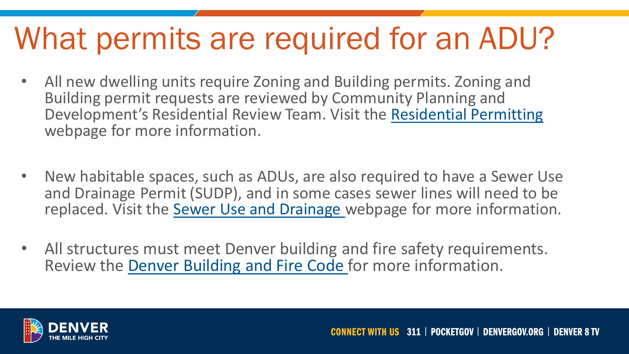## What permits are required for an ADU?

- All new dwelling units require Zoning and Building permits. Zoning and Building permit requests are reviewed by Community Planning and Development's Residential Review Team. Visit the [Residential Permitting](https://www.denvergov.org/content/denvergov/en/denver-development-services/home-projects.html)  webpage for more information.
- New habitable spaces, such as ADUs, are also required to have a Sewer Use and Drainage Permit (SUDP), and in some cases sewer lines will need to be replaced. Visit the [Sewer Use and Drainage w](https://www.denvergov.org/Government/Agencies-Departments-Offices/Agencies-Departments-Offices-Directory/Department-of-Transportation-and-Infrastructure/Documents/Wastewater-Permits/Sewer-Use-and-Drainage-Permits)ebpage for more information.
- All structures must meet Denver building and fire safety requirements. Review the [Denver Building and Fire Code](http://www.denvergov.org/buildingcode) for more information.

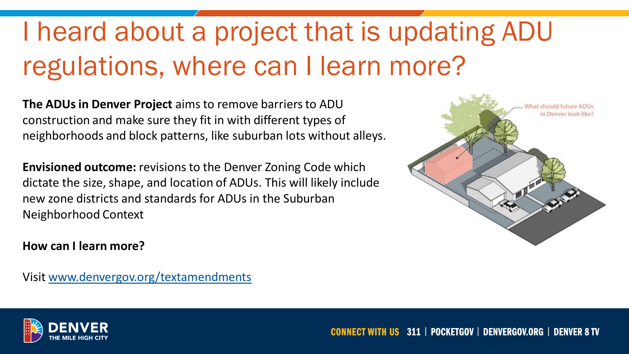## I heard about a project that is updating ADU regulations, where can I learn more?

**The ADUs in Denver Project** aims to remove barriers to ADU construction and make sure they fit in with different types of neighborhoods and block patterns, like suburban lots without alleys.

**Envisioned outcome:** revisions to the Denver Zoning Code which dictate the size, shape, and location of ADUs. This will likely include new zone districts and standards for ADUs in the Suburban Neighborhood Context

#### **How can I learn more?**

Visit [www.denvergov.org/textamendments](http://www.denvergov.org/textamendments)